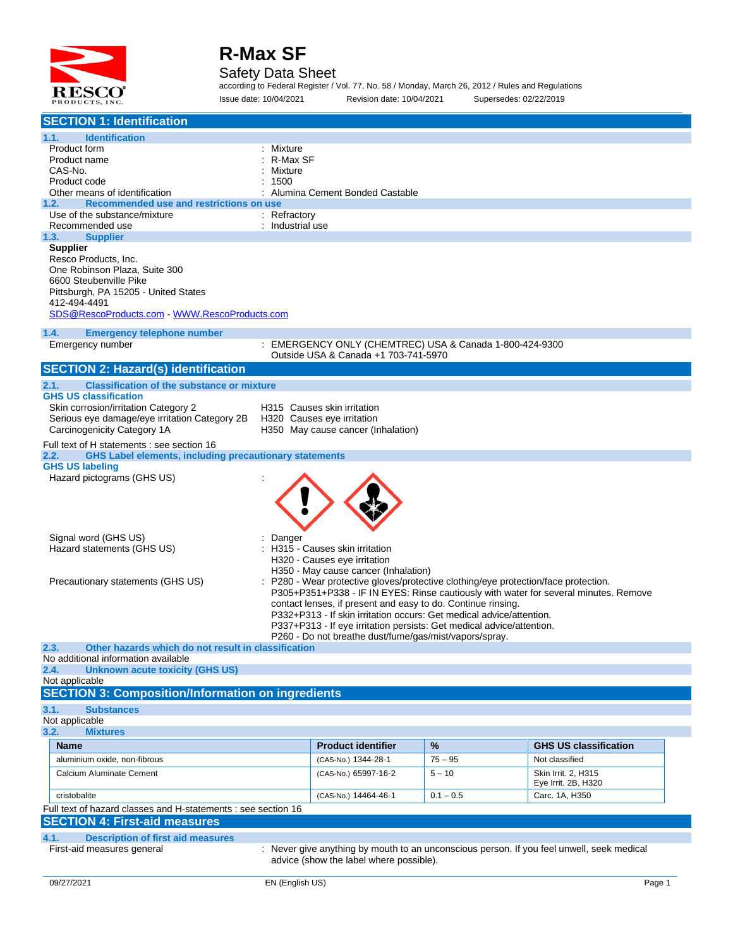

### Safety Data Sheet

according to Federal Register / Vol. 77, No. 58 / Monday, March 26, 2012 / Rules and Regulations Issue date: 10/04/2021 Revision date: 10/04/2021 Supersedes: 02/22/2019

| <b>SECTION 1: Identification</b>                                                                |                                |                                                                                                                           |             |                                                                                           |  |
|-------------------------------------------------------------------------------------------------|--------------------------------|---------------------------------------------------------------------------------------------------------------------------|-------------|-------------------------------------------------------------------------------------------|--|
| 1.1.<br><b>Identification</b>                                                                   |                                |                                                                                                                           |             |                                                                                           |  |
| Product form                                                                                    | Mixture                        |                                                                                                                           |             |                                                                                           |  |
| Product name                                                                                    | R-Max SF                       |                                                                                                                           |             |                                                                                           |  |
| CAS-No.                                                                                         | Mixture                        |                                                                                                                           |             |                                                                                           |  |
| Product code<br>Other means of identification                                                   | 1500                           |                                                                                                                           |             |                                                                                           |  |
| Recommended use and restrictions on use<br>1.2.                                                 | Alumina Cement Bonded Castable |                                                                                                                           |             |                                                                                           |  |
| Use of the substance/mixture                                                                    | : Refractory                   |                                                                                                                           |             |                                                                                           |  |
| Recommended use                                                                                 | : Industrial use               |                                                                                                                           |             |                                                                                           |  |
| 1.3.<br><b>Supplier</b>                                                                         |                                |                                                                                                                           |             |                                                                                           |  |
| <b>Supplier</b>                                                                                 |                                |                                                                                                                           |             |                                                                                           |  |
| Resco Products, Inc.<br>One Robinson Plaza, Suite 300                                           |                                |                                                                                                                           |             |                                                                                           |  |
| 6600 Steubenville Pike                                                                          |                                |                                                                                                                           |             |                                                                                           |  |
| Pittsburgh, PA 15205 - United States                                                            |                                |                                                                                                                           |             |                                                                                           |  |
| 412-494-4491                                                                                    |                                |                                                                                                                           |             |                                                                                           |  |
| SDS@RescoProducts.com WWW.RescoProducts.com                                                     |                                |                                                                                                                           |             |                                                                                           |  |
| 1.4.<br><b>Emergency telephone number</b>                                                       |                                |                                                                                                                           |             |                                                                                           |  |
| Emergency number                                                                                |                                | : EMERGENCY ONLY (CHEMTREC) USA & Canada 1-800-424-9300                                                                   |             |                                                                                           |  |
|                                                                                                 |                                | Outside USA & Canada +1 703-741-5970                                                                                      |             |                                                                                           |  |
| <b>SECTION 2: Hazard(s) identification</b>                                                      |                                |                                                                                                                           |             |                                                                                           |  |
| <b>Classification of the substance or mixture</b><br>2.1.                                       |                                |                                                                                                                           |             |                                                                                           |  |
| <b>GHS US classification</b>                                                                    |                                |                                                                                                                           |             |                                                                                           |  |
| Skin corrosion/irritation Category 2                                                            |                                | H315 Causes skin irritation                                                                                               |             |                                                                                           |  |
| Serious eye damage/eye irritation Category 2B                                                   |                                | H320 Causes eye irritation                                                                                                |             |                                                                                           |  |
| Carcinogenicity Category 1A                                                                     |                                | H350 May cause cancer (Inhalation)                                                                                        |             |                                                                                           |  |
| Full text of H statements : see section 16                                                      |                                |                                                                                                                           |             |                                                                                           |  |
| <b>GHS Label elements, including precautionary statements</b><br>2.2.<br><b>GHS US labeling</b> |                                |                                                                                                                           |             |                                                                                           |  |
| Hazard pictograms (GHS US)                                                                      |                                |                                                                                                                           |             |                                                                                           |  |
|                                                                                                 |                                |                                                                                                                           |             |                                                                                           |  |
|                                                                                                 |                                |                                                                                                                           |             |                                                                                           |  |
|                                                                                                 |                                |                                                                                                                           |             |                                                                                           |  |
|                                                                                                 |                                |                                                                                                                           |             |                                                                                           |  |
| Signal word (GHS US)                                                                            | Danger                         |                                                                                                                           |             |                                                                                           |  |
| Hazard statements (GHS US)                                                                      |                                | H315 - Causes skin irritation                                                                                             |             |                                                                                           |  |
|                                                                                                 |                                | H320 - Causes eye irritation                                                                                              |             |                                                                                           |  |
| Precautionary statements (GHS US)                                                               |                                | H350 - May cause cancer (Inhalation)<br>P280 - Wear protective gloves/protective clothing/eye protection/face protection. |             |                                                                                           |  |
|                                                                                                 |                                |                                                                                                                           |             | P305+P351+P338 - IF IN EYES: Rinse cautiously with water for several minutes. Remove      |  |
|                                                                                                 |                                | contact lenses, if present and easy to do. Continue rinsing.                                                              |             |                                                                                           |  |
|                                                                                                 |                                | P332+P313 - If skin irritation occurs: Get medical advice/attention.                                                      |             |                                                                                           |  |
|                                                                                                 |                                | P337+P313 - If eye irritation persists: Get medical advice/attention.                                                     |             |                                                                                           |  |
| 2.3.<br>Other hazards which do not result in classification                                     |                                | P260 - Do not breathe dust/fume/gas/mist/vapors/spray.                                                                    |             |                                                                                           |  |
| No additional information available                                                             |                                |                                                                                                                           |             |                                                                                           |  |
| <b>Unknown acute toxicity (GHS US)</b><br>2.4.                                                  |                                |                                                                                                                           |             |                                                                                           |  |
| Not applicable                                                                                  |                                |                                                                                                                           |             |                                                                                           |  |
| <b>SECTION 3: Composition/Information on ingredients</b>                                        |                                |                                                                                                                           |             |                                                                                           |  |
| 3.1.<br><b>Substances</b>                                                                       |                                |                                                                                                                           |             |                                                                                           |  |
| Not applicable                                                                                  |                                |                                                                                                                           |             |                                                                                           |  |
| 3.2.<br><b>Mixtures</b>                                                                         |                                |                                                                                                                           |             |                                                                                           |  |
| <b>Name</b>                                                                                     |                                | <b>Product identifier</b>                                                                                                 | $\%$        | <b>GHS US classification</b>                                                              |  |
| aluminium oxide, non-fibrous                                                                    |                                | (CAS-No.) 1344-28-1                                                                                                       | $75 - 95$   | Not classified                                                                            |  |
| Calcium Aluminate Cement                                                                        |                                | (CAS-No.) 65997-16-2                                                                                                      | $5 - 10$    | Skin Irrit. 2, H315                                                                       |  |
| cristobalite                                                                                    |                                | (CAS-No.) 14464-46-1                                                                                                      | $0.1 - 0.5$ | Eye Irrit. 2B, H320<br>Carc. 1A, H350                                                     |  |
| Full text of hazard classes and H-statements : see section 16                                   |                                |                                                                                                                           |             |                                                                                           |  |
| <b>SECTION 4: First-aid measures</b>                                                            |                                |                                                                                                                           |             |                                                                                           |  |
|                                                                                                 |                                |                                                                                                                           |             |                                                                                           |  |
| <b>Description of first aid measures</b><br>4.1.<br>First-aid measures general                  |                                |                                                                                                                           |             | : Never give anything by mouth to an unconscious person. If you feel unwell, seek medical |  |
|                                                                                                 |                                | advice (show the label where possible).                                                                                   |             |                                                                                           |  |
|                                                                                                 |                                |                                                                                                                           |             |                                                                                           |  |
| 09/27/2021                                                                                      | EN (English US)                |                                                                                                                           |             | Page 1                                                                                    |  |
|                                                                                                 |                                |                                                                                                                           |             |                                                                                           |  |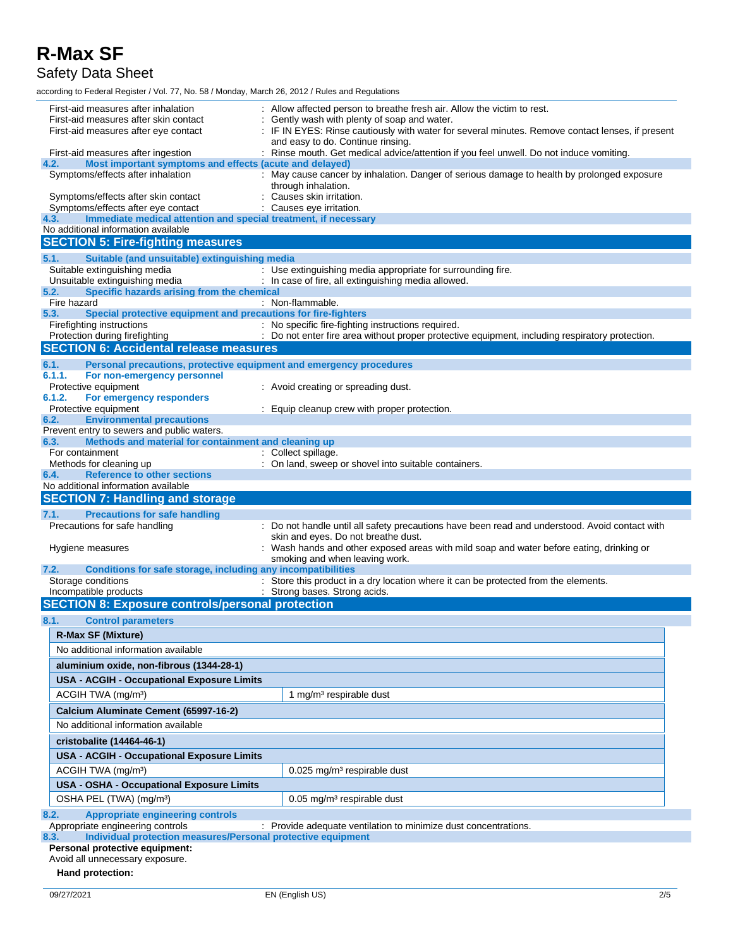Safety Data Sheet

according to Federal Register / Vol. 77, No. 58 / Monday, March 26, 2012 / Rules and Regulations

| First-aid measures after inhalation<br>First-aid measures after skin contact                                                  | : Allow affected person to breathe fresh air. Allow the victim to rest.<br>Gently wash with plenty of soap and water.    |  |  |
|-------------------------------------------------------------------------------------------------------------------------------|--------------------------------------------------------------------------------------------------------------------------|--|--|
| First-aid measures after eye contact                                                                                          | IF IN EYES: Rinse cautiously with water for several minutes. Remove contact lenses, if present                           |  |  |
| and easy to do. Continue rinsing.                                                                                             |                                                                                                                          |  |  |
| : Rinse mouth. Get medical advice/attention if you feel unwell. Do not induce vomiting.<br>First-aid measures after ingestion |                                                                                                                          |  |  |
| Most important symptoms and effects (acute and delayed)<br>4.2.<br>Symptoms/effects after inhalation                          |                                                                                                                          |  |  |
|                                                                                                                               | : May cause cancer by inhalation. Danger of serious damage to health by prolonged exposure<br>through inhalation.        |  |  |
| Symptoms/effects after skin contact<br>Symptoms/effects after eye contact                                                     | Causes skin irritation.<br>Causes eye irritation.                                                                        |  |  |
| Immediate medical attention and special treatment, if necessary<br>4.3.                                                       |                                                                                                                          |  |  |
| No additional information available                                                                                           |                                                                                                                          |  |  |
| <b>SECTION 5: Fire-fighting measures</b>                                                                                      |                                                                                                                          |  |  |
| 5.1.<br>Suitable (and unsuitable) extinguishing media                                                                         |                                                                                                                          |  |  |
| Suitable extinguishing media                                                                                                  | : Use extinguishing media appropriate for surrounding fire.                                                              |  |  |
| Unsuitable extinguishing media                                                                                                | : In case of fire, all extinguishing media allowed.                                                                      |  |  |
| Specific hazards arising from the chemical<br>5.2.<br>Fire hazard                                                             | : Non-flammable.                                                                                                         |  |  |
| Special protective equipment and precautions for fire-fighters<br>5.3.                                                        |                                                                                                                          |  |  |
| Firefighting instructions                                                                                                     | : No specific fire-fighting instructions required.                                                                       |  |  |
| Protection during firefighting                                                                                                | : Do not enter fire area without proper protective equipment, including respiratory protection.                          |  |  |
| <b>SECTION 6: Accidental release measures</b>                                                                                 |                                                                                                                          |  |  |
| 6.1.<br>Personal precautions, protective equipment and emergency procedures                                                   |                                                                                                                          |  |  |
| 6.1.1.<br>For non-emergency personnel                                                                                         |                                                                                                                          |  |  |
| Protective equipment                                                                                                          | : Avoid creating or spreading dust.                                                                                      |  |  |
| 6.1.2.<br>For emergency responders                                                                                            |                                                                                                                          |  |  |
| Protective equipment<br>6.2.<br><b>Environmental precautions</b>                                                              | : Equip cleanup crew with proper protection.                                                                             |  |  |
| Prevent entry to sewers and public waters.                                                                                    |                                                                                                                          |  |  |
| Methods and material for containment and cleaning up<br>6.3.                                                                  |                                                                                                                          |  |  |
| For containment                                                                                                               | : Collect spillage.                                                                                                      |  |  |
| Methods for cleaning up                                                                                                       | : On land, sweep or shovel into suitable containers.                                                                     |  |  |
| <b>Reference to other sections</b><br>6.4.                                                                                    |                                                                                                                          |  |  |
|                                                                                                                               |                                                                                                                          |  |  |
| No additional information available                                                                                           |                                                                                                                          |  |  |
| <b>SECTION 7: Handling and storage</b>                                                                                        |                                                                                                                          |  |  |
| <b>Precautions for safe handling</b><br>7.1.                                                                                  |                                                                                                                          |  |  |
| Precautions for safe handling                                                                                                 | : Do not handle until all safety precautions have been read and understood. Avoid contact with                           |  |  |
|                                                                                                                               | skin and eyes. Do not breathe dust.                                                                                      |  |  |
| Hygiene measures                                                                                                              | Wash hands and other exposed areas with mild soap and water before eating, drinking or<br>smoking and when leaving work. |  |  |
| Conditions for safe storage, including any incompatibilities<br>7.2.                                                          |                                                                                                                          |  |  |
| Storage conditions                                                                                                            | : Store this product in a dry location where it can be protected from the elements.                                      |  |  |
| Incompatible products                                                                                                         | : Strong bases. Strong acids.                                                                                            |  |  |
| <b>SECTION 8: Exposure controls/personal protection</b>                                                                       |                                                                                                                          |  |  |
| 8.1.<br><b>Control parameters</b>                                                                                             |                                                                                                                          |  |  |
| <b>R-Max SF (Mixture)</b>                                                                                                     |                                                                                                                          |  |  |
| No additional information available                                                                                           |                                                                                                                          |  |  |
| aluminium oxide, non-fibrous (1344-28-1)                                                                                      |                                                                                                                          |  |  |
| <b>USA - ACGIH - Occupational Exposure Limits</b>                                                                             |                                                                                                                          |  |  |
|                                                                                                                               |                                                                                                                          |  |  |
| ACGIH TWA (mg/m <sup>3</sup> )                                                                                                | 1 mg/m <sup>3</sup> respirable dust                                                                                      |  |  |
| Calcium Aluminate Cement (65997-16-2)                                                                                         |                                                                                                                          |  |  |
| No additional information available                                                                                           |                                                                                                                          |  |  |
| cristobalite (14464-46-1)                                                                                                     |                                                                                                                          |  |  |
| <b>USA - ACGIH - Occupational Exposure Limits</b>                                                                             |                                                                                                                          |  |  |
| ACGIH TWA (mg/m <sup>3</sup> )                                                                                                | 0.025 mg/m <sup>3</sup> respirable dust                                                                                  |  |  |
| USA - OSHA - Occupational Exposure Limits                                                                                     |                                                                                                                          |  |  |
| OSHA PEL (TWA) (mg/m <sup>3</sup> )                                                                                           | 0.05 mg/m <sup>3</sup> respirable dust                                                                                   |  |  |
|                                                                                                                               |                                                                                                                          |  |  |
| <b>Appropriate engineering controls</b><br>8.2.<br>Appropriate engineering controls                                           | : Provide adequate ventilation to minimize dust concentrations.                                                          |  |  |
| Individual protection measures/Personal protective equipment<br>8.3.<br>Personal protective equipment:                        |                                                                                                                          |  |  |

**Hand protection:**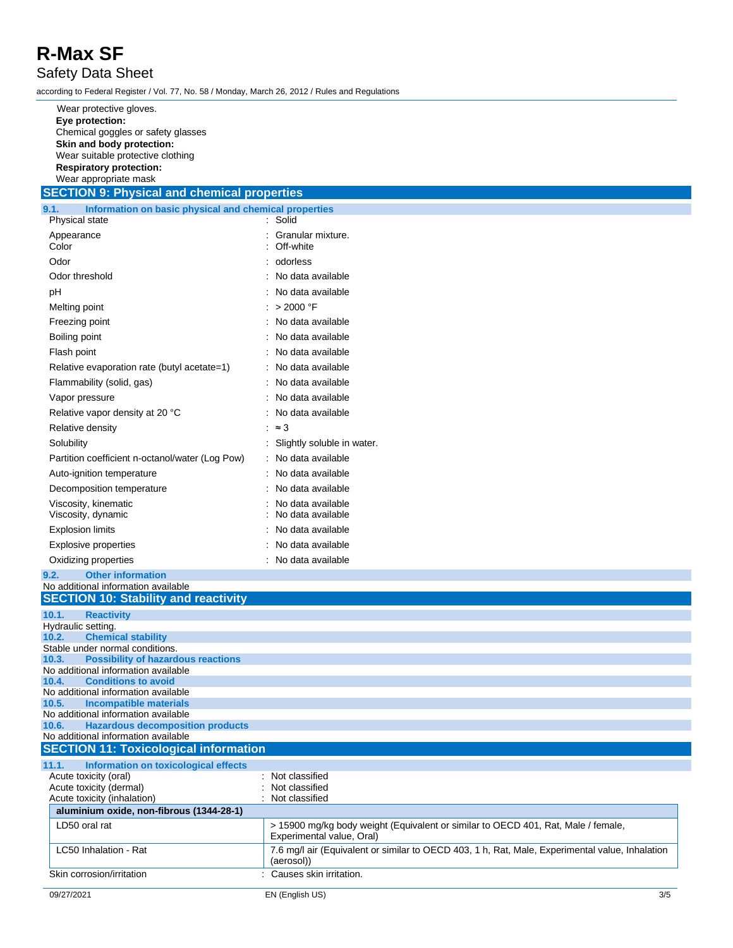### Safety Data Sheet

according to Federal Register / Vol. 77, No. 58 / Monday, March 26, 2012 / Rules and Regulations

| Wear protective gloves.            |
|------------------------------------|
| Eye protection:                    |
| Chemical goggles or safety glasses |
| Skin and body protection:          |
| Wear suitable protective clothing  |
| <b>Respiratory protection:</b>     |
| Wear appropriate mask              |

### **SECTION 9: Physical and chemical properties**

| Information on basic physical and chemical properties<br>9.1. |                                        |
|---------------------------------------------------------------|----------------------------------------|
| Physical state                                                | Solid                                  |
| Appearance<br>Color                                           | Granular mixture.<br>Off-white         |
| Odor                                                          | odorless                               |
| Odor threshold                                                | No data available                      |
| рH                                                            | No data available                      |
| Melting point                                                 | > 2000 °F                              |
| Freezing point                                                | No data available                      |
| Boiling point                                                 | No data available                      |
| Flash point                                                   | No data available                      |
| Relative evaporation rate (butyl acetate=1)                   | No data available                      |
| Flammability (solid, gas)                                     | No data available                      |
| Vapor pressure                                                | No data available                      |
| Relative vapor density at 20 °C                               | No data available                      |
| Relative density                                              | $\approx$ 3                            |
| Solubility                                                    | Slightly soluble in water.             |
| Partition coefficient n-octanol/water (Log Pow)               | No data available                      |
| Auto-ignition temperature                                     | No data available                      |
| Decomposition temperature                                     | No data available                      |
| Viscosity, kinematic<br>Viscosity, dynamic                    | No data available<br>No data available |
| <b>Explosion limits</b>                                       | No data available                      |
| <b>Explosive properties</b>                                   | No data available                      |
| Oxidizing properties                                          | No data available                      |
| 9.2.<br><b>Other information</b>                              |                                        |

### No additional information available **SECTION 10: Stability and reactivity 10.1. Reactivity** Hydraulic setting. **10.2. Chemical stability** Stable under normal conditions. **10.3. Possibility of hazardous reactions** No additional information available **10.4. Conditions to avoid** No additional information available<br>10.5. Incompatible materials **Incompatible materials** No additional information available **10.6. Hazardous decomposition products** No additional information available **SECTION 11: Toxicological information 11.1. Information on toxicological effects** Acute toxicity (oral) <br>
Acute toxicity (dermal) 
<br>  $\overline{a}$  
<br>  $\overline{b}$   $\overline{c}$   $\overline{c}$   $\overline{a}$   $\overline{c}$   $\overline{a}$   $\overline{c}$   $\overline{c}$   $\overline{c}$   $\overline{c}$   $\overline{c}$   $\overline{c}$   $\overline{c}$   $\overline{c}$   $\overline{c}$   $\overline{c}$   $\overline{c}$  Acute toxicity (dermal) <br>
Acute toxicity (inhalation) 
<br>  $\therefore$  Not classified Acute toxicity (inhalation) **aluminium oxide, non-fibrous (1344-28-1)** LD50 oral rat **15900 mg/kg body weight (Equivalent or similar to OECD 401, Rat, Male / female,** Experimental value, Oral) LC50 Inhalation - Rat **7.6 mg/l air (Equivalent or similar to OECD 403, 1 h, Rat, Male, Experimental value, Inhalation** (aerosol)) Skin corrosion/irritation : Causes skin irritation.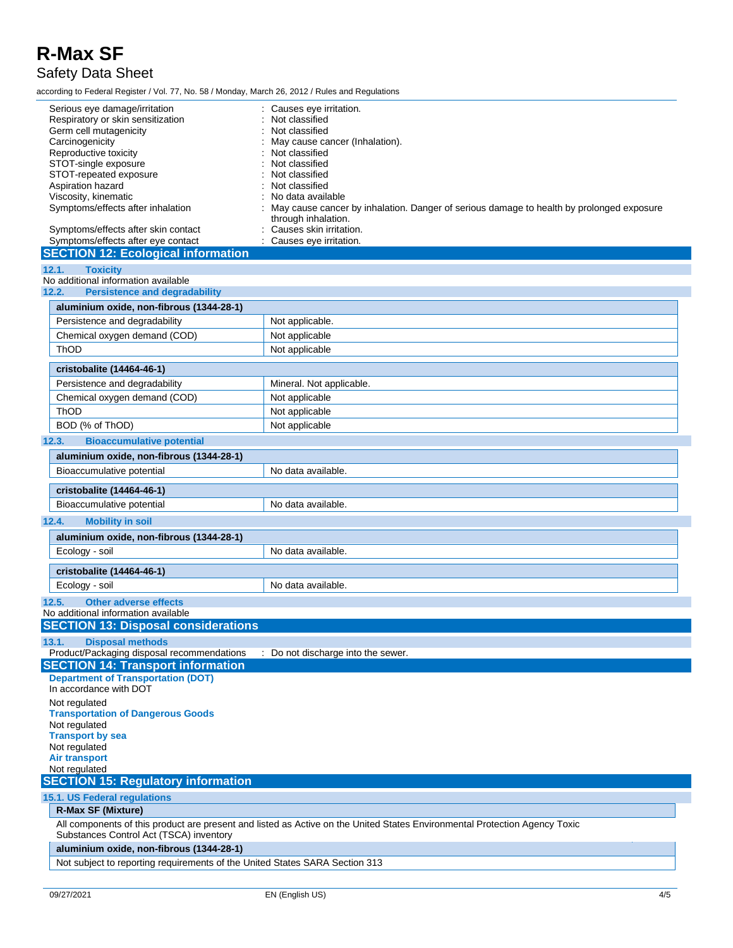### Safety Data Sheet

according to Federal Register / Vol. 77, No. 58 / Monday, March 26, 2012 / Rules and Regulations

| Serious eye damage/irritation<br>Respiratory or skin sensitization<br>Germ cell mutagenicity<br>Carcinogenicity<br>Reproductive toxicity<br>STOT-single exposure<br>STOT-repeated exposure<br>Aspiration hazard<br>Viscosity, kinematic<br>Symptoms/effects after inhalation<br>Symptoms/effects after skin contact<br>Symptoms/effects after eye contact<br><b>SECTION 12: Ecological information</b> | Causes eye irritation.<br>Not classified<br>Not classified<br>May cause cancer (Inhalation).<br>Not classified<br>Not classified<br>Not classified<br>Not classified<br>No data available<br>May cause cancer by inhalation. Danger of serious damage to health by prolonged exposure<br>through inhalation.<br>Causes skin irritation.<br>: Causes eye irritation. |  |  |  |
|--------------------------------------------------------------------------------------------------------------------------------------------------------------------------------------------------------------------------------------------------------------------------------------------------------------------------------------------------------------------------------------------------------|---------------------------------------------------------------------------------------------------------------------------------------------------------------------------------------------------------------------------------------------------------------------------------------------------------------------------------------------------------------------|--|--|--|
| <b>Toxicity</b><br>12.1.                                                                                                                                                                                                                                                                                                                                                                               |                                                                                                                                                                                                                                                                                                                                                                     |  |  |  |
| No additional information available                                                                                                                                                                                                                                                                                                                                                                    |                                                                                                                                                                                                                                                                                                                                                                     |  |  |  |
| 12.2.<br><b>Persistence and degradability</b>                                                                                                                                                                                                                                                                                                                                                          |                                                                                                                                                                                                                                                                                                                                                                     |  |  |  |
| aluminium oxide, non-fibrous (1344-28-1)                                                                                                                                                                                                                                                                                                                                                               |                                                                                                                                                                                                                                                                                                                                                                     |  |  |  |
| Persistence and degradability                                                                                                                                                                                                                                                                                                                                                                          | Not applicable.                                                                                                                                                                                                                                                                                                                                                     |  |  |  |
| Chemical oxygen demand (COD)                                                                                                                                                                                                                                                                                                                                                                           | Not applicable                                                                                                                                                                                                                                                                                                                                                      |  |  |  |
| ThOD                                                                                                                                                                                                                                                                                                                                                                                                   | Not applicable                                                                                                                                                                                                                                                                                                                                                      |  |  |  |
| cristobalite (14464-46-1)                                                                                                                                                                                                                                                                                                                                                                              |                                                                                                                                                                                                                                                                                                                                                                     |  |  |  |
| Persistence and degradability                                                                                                                                                                                                                                                                                                                                                                          | Mineral. Not applicable.                                                                                                                                                                                                                                                                                                                                            |  |  |  |
| Chemical oxygen demand (COD)                                                                                                                                                                                                                                                                                                                                                                           | Not applicable                                                                                                                                                                                                                                                                                                                                                      |  |  |  |
| <b>ThOD</b>                                                                                                                                                                                                                                                                                                                                                                                            | Not applicable                                                                                                                                                                                                                                                                                                                                                      |  |  |  |
| BOD (% of ThOD)                                                                                                                                                                                                                                                                                                                                                                                        | Not applicable                                                                                                                                                                                                                                                                                                                                                      |  |  |  |
| <b>Bioaccumulative potential</b><br>12.3.                                                                                                                                                                                                                                                                                                                                                              |                                                                                                                                                                                                                                                                                                                                                                     |  |  |  |
| aluminium oxide, non-fibrous (1344-28-1)                                                                                                                                                                                                                                                                                                                                                               |                                                                                                                                                                                                                                                                                                                                                                     |  |  |  |
| Bioaccumulative potential                                                                                                                                                                                                                                                                                                                                                                              | No data available.                                                                                                                                                                                                                                                                                                                                                  |  |  |  |
| cristobalite (14464-46-1)                                                                                                                                                                                                                                                                                                                                                                              |                                                                                                                                                                                                                                                                                                                                                                     |  |  |  |
| Bioaccumulative potential                                                                                                                                                                                                                                                                                                                                                                              | No data available.                                                                                                                                                                                                                                                                                                                                                  |  |  |  |
|                                                                                                                                                                                                                                                                                                                                                                                                        |                                                                                                                                                                                                                                                                                                                                                                     |  |  |  |
| 12.4.<br><b>Mobility in soil</b>                                                                                                                                                                                                                                                                                                                                                                       |                                                                                                                                                                                                                                                                                                                                                                     |  |  |  |
| aluminium oxide, non-fibrous (1344-28-1)                                                                                                                                                                                                                                                                                                                                                               |                                                                                                                                                                                                                                                                                                                                                                     |  |  |  |
| Ecology - soil                                                                                                                                                                                                                                                                                                                                                                                         | No data available.                                                                                                                                                                                                                                                                                                                                                  |  |  |  |
| cristobalite (14464-46-1)                                                                                                                                                                                                                                                                                                                                                                              |                                                                                                                                                                                                                                                                                                                                                                     |  |  |  |
| Ecology - soil                                                                                                                                                                                                                                                                                                                                                                                         | No data available.                                                                                                                                                                                                                                                                                                                                                  |  |  |  |
| <b>Other adverse effects</b><br>12.5.                                                                                                                                                                                                                                                                                                                                                                  |                                                                                                                                                                                                                                                                                                                                                                     |  |  |  |
| No additional information available                                                                                                                                                                                                                                                                                                                                                                    |                                                                                                                                                                                                                                                                                                                                                                     |  |  |  |
| <b>SECTION 13: Disposal considerations</b>                                                                                                                                                                                                                                                                                                                                                             |                                                                                                                                                                                                                                                                                                                                                                     |  |  |  |
| <b>Disposal methods</b><br>13.1.                                                                                                                                                                                                                                                                                                                                                                       |                                                                                                                                                                                                                                                                                                                                                                     |  |  |  |
| Product/Packaging disposal recommendations                                                                                                                                                                                                                                                                                                                                                             | : Do not discharge into the sewer.                                                                                                                                                                                                                                                                                                                                  |  |  |  |
| <b>SECTION 14: Transport information</b><br><b>Department of Transportation (DOT)</b>                                                                                                                                                                                                                                                                                                                  |                                                                                                                                                                                                                                                                                                                                                                     |  |  |  |
| In accordance with DOT                                                                                                                                                                                                                                                                                                                                                                                 |                                                                                                                                                                                                                                                                                                                                                                     |  |  |  |
| Not regulated                                                                                                                                                                                                                                                                                                                                                                                          |                                                                                                                                                                                                                                                                                                                                                                     |  |  |  |
| <b>Transportation of Dangerous Goods</b>                                                                                                                                                                                                                                                                                                                                                               |                                                                                                                                                                                                                                                                                                                                                                     |  |  |  |
| Not regulated                                                                                                                                                                                                                                                                                                                                                                                          |                                                                                                                                                                                                                                                                                                                                                                     |  |  |  |
| <b>Transport by sea</b><br>Not regulated                                                                                                                                                                                                                                                                                                                                                               |                                                                                                                                                                                                                                                                                                                                                                     |  |  |  |
| <b>Air transport</b>                                                                                                                                                                                                                                                                                                                                                                                   |                                                                                                                                                                                                                                                                                                                                                                     |  |  |  |
| Not regulated                                                                                                                                                                                                                                                                                                                                                                                          |                                                                                                                                                                                                                                                                                                                                                                     |  |  |  |
| <b>SECTION 15: Regulatory information</b>                                                                                                                                                                                                                                                                                                                                                              |                                                                                                                                                                                                                                                                                                                                                                     |  |  |  |
| <b>15.1. US Federal regulations</b>                                                                                                                                                                                                                                                                                                                                                                    |                                                                                                                                                                                                                                                                                                                                                                     |  |  |  |
| <b>R-Max SF (Mixture)</b>                                                                                                                                                                                                                                                                                                                                                                              |                                                                                                                                                                                                                                                                                                                                                                     |  |  |  |
| Substances Control Act (TSCA) inventory                                                                                                                                                                                                                                                                                                                                                                | All components of this product are present and listed as Active on the United States Environmental Protection Agency Toxic                                                                                                                                                                                                                                          |  |  |  |
| aluminium oxide, non-fibrous (1344-28-1)                                                                                                                                                                                                                                                                                                                                                               |                                                                                                                                                                                                                                                                                                                                                                     |  |  |  |
| Not subject to reporting requirements of the United States SARA Section 313                                                                                                                                                                                                                                                                                                                            |                                                                                                                                                                                                                                                                                                                                                                     |  |  |  |